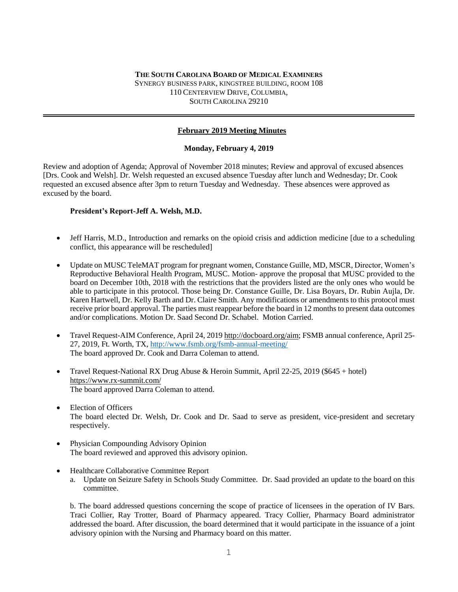#### **THE SOUTH CAROLINA BOARD OF MEDICAL EXAMINERS** SYNERGY BUSINESS PARK, KINGSTREE BUILDING, ROOM 108 110 CENTERVIEW DRIVE, COLUMBIA, SOUTH CAROLINA 29210

# **February 2019 Meeting Minutes**

### **Monday, February 4, 2019**

Review and adoption of Agenda; Approval of November 2018 minutes; Review and approval of excused absences [Drs. Cook and Welsh]. Dr. Welsh requested an excused absence Tuesday after lunch and Wednesday; Dr. Cook requested an excused absence after 3pm to return Tuesday and Wednesday. These absences were approved as excused by the board.

### **President's Report-Jeff A. Welsh, M.D.**

- Jeff Harris, M.D., Introduction and remarks on the opioid crisis and addiction medicine [due to a scheduling conflict, this appearance will be rescheduled]
- Update on MUSC TeleMAT program for pregnant women, Constance Guille, MD, MSCR, Director, Women's Reproductive Behavioral Health Program, MUSC. Motion- approve the proposal that MUSC provided to the board on December 10th, 2018 with the restrictions that the providers listed are the only ones who would be able to participate in this protocol. Those being Dr. Constance Guille, Dr. Lisa Boyars, Dr. Rubin Aujla, Dr. Karen Hartwell, Dr. Kelly Barth and Dr. Claire Smith. Any modifications or amendments to this protocol must receive prior board approval. The parties must reappear before the board in 12 months to present data outcomes and/or complications. Motion Dr. Saad Second Dr. Schabel. Motion Carried.
- Travel Request-AIM Conference, April 24, 2019 [http://docboard.org/aim;](http://docboard.org/aim) FSMB annual conference, April 25- 27, 2019, Ft. Worth, TX,<http://www.fsmb.org/fsmb-annual-meeting/> The board approved Dr. Cook and Darra Coleman to attend.
- Travel Request-National RX Drug Abuse & Heroin Summit, April 22-25, 2019 (\$645 + hotel) <https://www.rx-summit.com/> The board approved Darra Coleman to attend.
- Election of Officers The board elected Dr. Welsh, Dr. Cook and Dr. Saad to serve as president, vice-president and secretary respectively.
- Physician Compounding Advisory Opinion The board reviewed and approved this advisory opinion.
- Healthcare Collaborative Committee Report
	- a. Update on Seizure Safety in Schools Study Committee. Dr. Saad provided an update to the board on this committee.

b. The board addressed questions concerning the scope of practice of licensees in the operation of IV Bars. Traci Collier, Ray Trotter, Board of Pharmacy appeared. Tracy Collier, Pharmacy Board administrator addressed the board. After discussion, the board determined that it would participate in the issuance of a joint advisory opinion with the Nursing and Pharmacy board on this matter.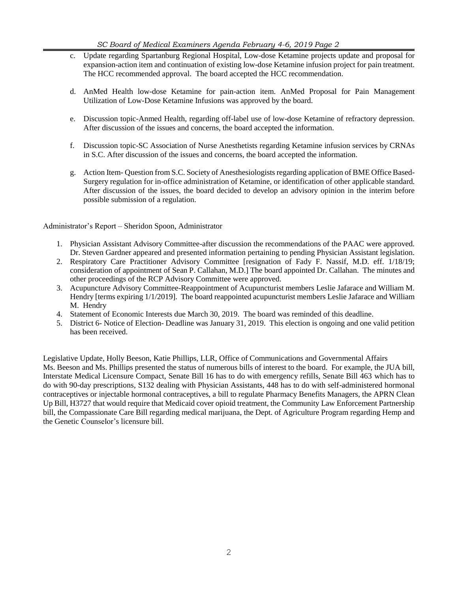- c. Update regarding Spartanburg Regional Hospital, Low-dose Ketamine projects update and proposal for expansion-action item and continuation of existing low-dose Ketamine infusion project for pain treatment. The HCC recommended approval. The board accepted the HCC recommendation.
- d. AnMed Health low-dose Ketamine for pain-action item. AnMed Proposal for Pain Management Utilization of Low-Dose Ketamine Infusions was approved by the board.
- e. Discussion topic-Anmed Health, regarding off-label use of low-dose Ketamine of refractory depression. After discussion of the issues and concerns, the board accepted the information.
- f. Discussion topic-SC Association of Nurse Anesthetists regarding Ketamine infusion services by CRNAs in S.C. After discussion of the issues and concerns, the board accepted the information.
- g. Action Item- Question from S.C. Society of Anesthesiologists regarding application of BME Office Based-Surgery regulation for in-office administration of Ketamine, or identification of other applicable standard. After discussion of the issues, the board decided to develop an advisory opinion in the interim before possible submission of a regulation.

Administrator's Report – Sheridon Spoon, Administrator

- 1. Physician Assistant Advisory Committee-after discussion the recommendations of the PAAC were approved. Dr. Steven Gardner appeared and presented information pertaining to pending Physician Assistant legislation.
- 2. Respiratory Care Practitioner Advisory Committee [resignation of Fady F. Nassif, M.D. eff. 1/18/19; consideration of appointment of Sean P. Callahan, M.D.] The board appointed Dr. Callahan. The minutes and other proceedings of the RCP Advisory Committee were approved.
- 3. Acupuncture Advisory Committee-Reappointment of Acupuncturist members Leslie Jafarace and William M. Hendry [terms expiring 1/1/2019]. The board reappointed acupuncturist members Leslie Jafarace and William M. Hendry
- 4. Statement of Economic Interests due March 30, 2019. The board was reminded of this deadline.
- 5. District 6- Notice of Election- Deadline was January 31, 2019. This election is ongoing and one valid petition has been received.

Legislative Update, Holly Beeson, Katie Phillips, LLR, Office of Communications and Governmental Affairs Ms. Beeson and Ms. Phillips presented the status of numerous bills of interest to the board. For example, the JUA bill, Interstate Medical Licensure Compact, Senate Bill 16 has to do with emergency refills, Senate Bill 463 which has to do with 90-day prescriptions, S132 dealing with Physician Assistants, 448 has to do with self-administered hormonal contraceptives or injectable hormonal contraceptives, a bill to regulate Pharmacy Benefits Managers, the APRN Clean Up Bill, H3727 that would require that Medicaid cover opioid treatment, the Community Law Enforcement Partnership bill, the Compassionate Care Bill regarding medical marijuana, the Dept. of Agriculture Program regarding Hemp and the Genetic Counselor's licensure bill.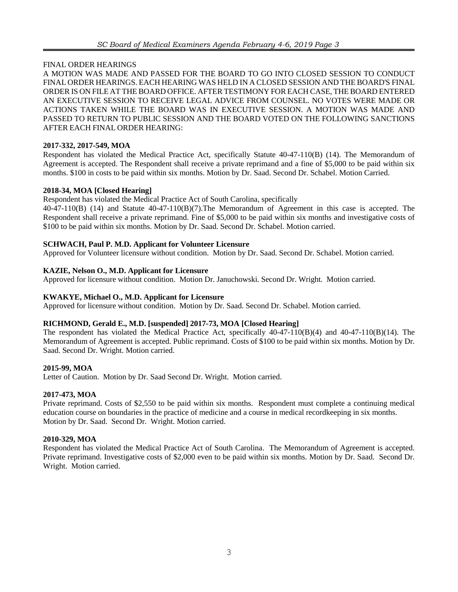### FINAL ORDER HEARINGS

A MOTION WAS MADE AND PASSED FOR THE BOARD TO GO INTO CLOSED SESSION TO CONDUCT FINAL ORDER HEARINGS. EACH HEARING WAS HELD IN A CLOSED SESSION AND THE BOARD'S FINAL ORDER IS ON FILE AT THE BOARD OFFICE. AFTER TESTIMONY FOREACH CASE, THE BOARD ENTERED AN EXECUTIVE SESSION TO RECEIVE LEGAL ADVICE FROM COUNSEL. NO VOTES WERE MADE OR ACTIONS TAKEN WHILE THE BOARD WAS IN EXECUTIVE SESSION. A MOTION WAS MADE AND PASSED TO RETURN TO PUBLIC SESSION AND THE BOARD VOTED ON THE FOLLOWING SANCTIONS AFTER EACH FINAL ORDER HEARING:

### **2017-332, 2017-549, MOA**

Respondent has violated the Medical Practice Act, specifically Statute 40-47-110(B) (14). The Memorandum of Agreement is accepted. The Respondent shall receive a private reprimand and a fine of \$5,000 to be paid within six months. \$100 in costs to be paid within six months. Motion by Dr. Saad. Second Dr. Schabel. Motion Carried.

### **2018-34, MOA [Closed Hearing]**

Respondent has violated the Medical Practice Act of South Carolina, specifically

40-47-110(B) (14) and Statute 40-47-110(B)(7).The Memorandum of Agreement in this case is accepted. The Respondent shall receive a private reprimand. Fine of \$5,000 to be paid within six months and investigative costs of \$100 to be paid within six months. Motion by Dr. Saad. Second Dr. Schabel. Motion carried.

### **SCHWACH, Paul P. M.D. Applicant for Volunteer Licensure**

Approved for Volunteer licensure without condition. Motion by Dr. Saad. Second Dr. Schabel. Motion carried.

### **KAZIE, Nelson O., M.D. Applicant for Licensure**

Approved for licensure without condition. Motion Dr. Januchowski. Second Dr. Wright. Motion carried.

#### **KWAKYE, Michael O., M.D. Applicant for Licensure**

Approved for licensure without condition. Motion by Dr. Saad. Second Dr. Schabel. Motion carried.

#### **RICHMOND, Gerald E., M.D. [suspended] 2017-73, MOA [Closed Hearing]**

The respondent has violated the Medical Practice Act, specifically 40-47-110(B)(4) and 40-47-110(B)(14). The Memorandum of Agreement is accepted. Public reprimand. Costs of \$100 to be paid within six months. Motion by Dr. Saad. Second Dr. Wright. Motion carried.

#### **2015-99, MOA**

Letter of Caution. Motion by Dr. Saad Second Dr. Wright. Motion carried.

## **2017-473, MOA**

Private reprimand. Costs of \$2,550 to be paid within six months. Respondent must complete a continuing medical education course on boundaries in the practice of medicine and a course in medical recordkeeping in six months. Motion by Dr. Saad. Second Dr. Wright. Motion carried.

## **2010-329, MOA**

Respondent has violated the Medical Practice Act of South Carolina. The Memorandum of Agreement is accepted. Private reprimand. Investigative costs of \$2,000 even to be paid within six months. Motion by Dr. Saad. Second Dr. Wright. Motion carried.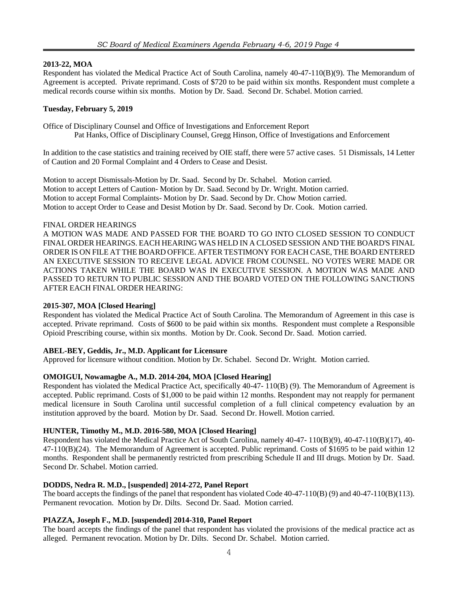### **2013-22, MOA**

Respondent has violated the Medical Practice Act of South Carolina, namely 40-47-110(B)(9). The Memorandum of Agreement is accepted. Private reprimand. Costs of \$720 to be paid within six months. Respondent must complete a medical records course within six months. Motion by Dr. Saad. Second Dr. Schabel. Motion carried.

## **Tuesday, February 5, 2019**

Office of Disciplinary Counsel and Office of Investigations and Enforcement Report Pat Hanks, Office of Disciplinary Counsel, Gregg Hinson, Office of Investigations and Enforcement

In addition to the case statistics and training received by OIE staff, there were 57 active cases. 51 Dismissals, 14 Letter of Caution and 20 Formal Complaint and 4 Orders to Cease and Desist.

Motion to accept Dismissals-Motion by Dr. Saad. Second by Dr. Schabel. Motion carried. Motion to accept Letters of Caution- Motion by Dr. Saad. Second by Dr. Wright. Motion carried. Motion to accept Formal Complaints- Motion by Dr. Saad. Second by Dr. Chow Motion carried. Motion to accept Order to Cease and Desist Motion by Dr. Saad. Second by Dr. Cook. Motion carried.

### FINAL ORDER HEARINGS

A MOTION WAS MADE AND PASSED FOR THE BOARD TO GO INTO CLOSED SESSION TO CONDUCT FINAL ORDER HEARINGS. EACH HEARING WAS HELD IN A CLOSED SESSION AND THE BOARD'S FINAL ORDER IS ON FILE AT THE BOARD OFFICE. AFTER TESTIMONY FOREACH CASE, THE BOARD ENTERED AN EXECUTIVE SESSION TO RECEIVE LEGAL ADVICE FROM COUNSEL. NO VOTES WERE MADE OR ACTIONS TAKEN WHILE THE BOARD WAS IN EXECUTIVE SESSION. A MOTION WAS MADE AND PASSED TO RETURN TO PUBLIC SESSION AND THE BOARD VOTED ON THE FOLLOWING SANCTIONS AFTER EACH FINAL ORDER HEARING:

## **2015-307, MOA [Closed Hearing]**

Respondent has violated the Medical Practice Act of South Carolina. The Memorandum of Agreement in this case is accepted. Private reprimand. Costs of \$600 to be paid within six months. Respondent must complete a Responsible Opioid Prescribing course, within six months. Motion by Dr. Cook. Second Dr. Saad. Motion carried.

## **ABEL-BEY, Geddis, Jr., M.D. Applicant for Licensure**

Approved for licensure without condition. Motion by Dr. Schabel. Second Dr. Wright. Motion carried.

## **OMOIGUI, Nowamagbe A., M.D. 2014-204, MOA [Closed Hearing]**

Respondent has violated the Medical Practice Act, specifically 40-47- 110(B) (9). The Memorandum of Agreement is accepted. Public reprimand. Costs of \$1,000 to be paid within 12 months. Respondent may not reapply for permanent medical licensure in South Carolina until successful completion of a full clinical competency evaluation by an institution approved by the board. Motion by Dr. Saad. Second Dr. Howell. Motion carried.

## **HUNTER, Timothy M., M.D. 2016-580, MOA [Closed Hearing]**

Respondent has violated the Medical Practice Act of South Carolina, namely 40-47- 110(B)(9), 40-47-110(B)(17), 40- 47-110(B)(24). The Memorandum of Agreement is accepted. Public reprimand. Costs of \$1695 to be paid within 12 months. Respondent shall be permanently restricted from prescribing Schedule II and III drugs. Motion by Dr. Saad. Second Dr. Schabel. Motion carried.

## **DODDS, Nedra R. M.D., [suspended] 2014-272, Panel Report**

The board accepts the findings of the panel that respondent has violated Code 40-47-110(B) (9) and 40-47-110(B)(113). Permanent revocation. Motion by Dr. Dilts. Second Dr. Saad. Motion carried.

## **PIAZZA, Joseph F., M.D. [suspended] 2014-310, Panel Report**

The board accepts the findings of the panel that respondent has violated the provisions of the medical practice act as alleged. Permanent revocation. Motion by Dr. Dilts. Second Dr. Schabel. Motion carried.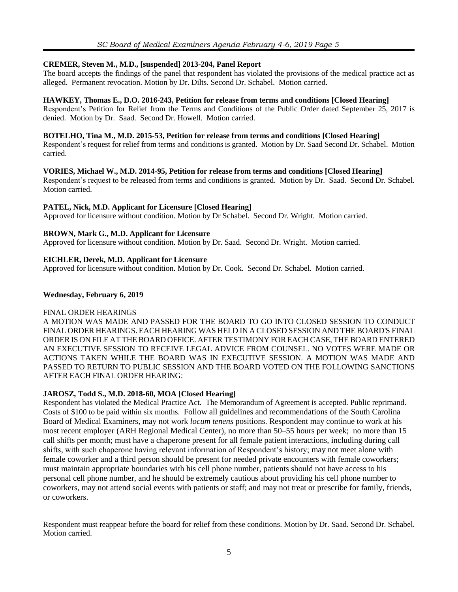## **CREMER, Steven M., M.D., [suspended] 2013-204, Panel Report**

The board accepts the findings of the panel that respondent has violated the provisions of the medical practice act as alleged. Permanent revocation. Motion by Dr. Dilts. Second Dr. Schabel. Motion carried.

#### **HAWKEY, Thomas E., D.O. 2016-243, Petition for release from terms and conditions [Closed Hearing]**

Respondent's Petition for Relief from the Terms and Conditions of the Public Order dated September 25, 2017 is denied. Motion by Dr. Saad. Second Dr. Howell. Motion carried.

#### **BOTELHO, Tina M., M.D. 2015-53, Petition for release from terms and conditions [Closed Hearing]**

Respondent's request for relief from terms and conditions is granted. Motion by Dr. Saad Second Dr. Schabel. Motion carried.

### **VORIES, Michael W., M.D. 2014-95, Petition for release from terms and conditions [Closed Hearing]**

Respondent's request to be released from terms and conditions is granted. Motion by Dr. Saad. Second Dr. Schabel. Motion carried.

### **PATEL, Nick, M.D. Applicant for Licensure [Closed Hearing]**

Approved for licensure without condition. Motion by Dr Schabel. Second Dr. Wright. Motion carried.

### **BROWN, Mark G., M.D. Applicant for Licensure**

Approved for licensure without condition. Motion by Dr. Saad. Second Dr. Wright. Motion carried.

### **EICHLER, Derek, M.D. Applicant for Licensure**

Approved for licensure without condition. Motion by Dr. Cook. Second Dr. Schabel. Motion carried.

### **Wednesday, February 6, 2019**

#### FINAL ORDER HEARINGS

A MOTION WAS MADE AND PASSED FOR THE BOARD TO GO INTO CLOSED SESSION TO CONDUCT FINAL ORDER HEARINGS. EACH HEARING WAS HELD IN A CLOSED SESSION AND THE BOARD'S FINAL ORDER IS ON FILE AT THE BOARD OFFICE. AFTER TESTIMONY FOREACH CASE, THE BOARD ENTERED AN EXECUTIVE SESSION TO RECEIVE LEGAL ADVICE FROM COUNSEL. NO VOTES WERE MADE OR ACTIONS TAKEN WHILE THE BOARD WAS IN EXECUTIVE SESSION. A MOTION WAS MADE AND PASSED TO RETURN TO PUBLIC SESSION AND THE BOARD VOTED ON THE FOLLOWING SANCTIONS AFTER EACH FINAL ORDER HEARING:

## **JAROSZ, Todd S., M.D. 2018-60, MOA [Closed Hearing]**

Respondent has violated the Medical Practice Act. The Memorandum of Agreement is accepted. Public reprimand. Costs of \$100 to be paid within six months. Follow all guidelines and recommendations of the South Carolina Board of Medical Examiners, may not work *locum tenens* positions. Respondent may continue to work at his most recent employer (ARH Regional Medical Center), no more than 50–55 hours per week; no more than 15 call shifts per month; must have a chaperone present for all female patient interactions, including during call shifts, with such chaperone having relevant information of Respondent's history; may not meet alone with female coworker and a third person should be present for needed private encounters with female coworkers; must maintain appropriate boundaries with his cell phone number, patients should not have access to his personal cell phone number, and he should be extremely cautious about providing his cell phone number to coworkers, may not attend social events with patients or staff; and may not treat or prescribe for family, friends, or coworkers.

Respondent must reappear before the board for relief from these conditions. Motion by Dr. Saad. Second Dr. Schabel. Motion carried.